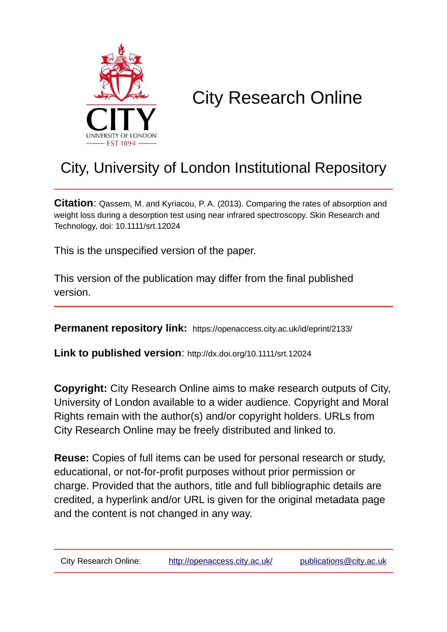

# City Research Online

## City, University of London Institutional Repository

**Citation**: Qassem, M. and Kyriacou, P. A. (2013). Comparing the rates of absorption and weight loss during a desorption test using near infrared spectroscopy. Skin Research and Technology, doi: 10.1111/srt.12024

This is the unspecified version of the paper.

This version of the publication may differ from the final published version.

**Permanent repository link:** https://openaccess.city.ac.uk/id/eprint/2133/

**Link to published version**: http://dx.doi.org/10.1111/srt.12024

**Copyright:** City Research Online aims to make research outputs of City, University of London available to a wider audience. Copyright and Moral Rights remain with the author(s) and/or copyright holders. URLs from City Research Online may be freely distributed and linked to.

**Reuse:** Copies of full items can be used for personal research or study, educational, or not-for-profit purposes without prior permission or charge. Provided that the authors, title and full bibliographic details are credited, a hyperlink and/or URL is given for the original metadata page and the content is not changed in any way.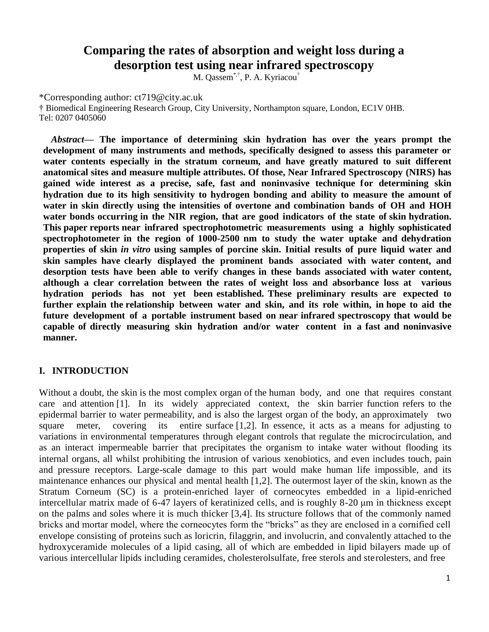### **Comparing the rates of absorption and weight loss during a desorption test using near infrared spectroscopy**

M. Qassem<sup>\*,†</sup>, P. A. Kyriacou<sup>†</sup>

\*Corresponding author: ct719@city.ac.uk

† Biomedical Engineering Research Group, City University, Northampton square, London, EC1V 0HB. Tel: 0207 0405060

*Abstract***— The importance of determining skin hydration has over the years prompt the development of many instruments and methods, specifically designed to assess this parameter or water contents especially in the stratum corneum, and have greatly matured to suit different anatomical sites and measure multiple attributes. Of those, Near Infrared Spectroscopy (NIRS) has gained wide interest as a precise, safe, fast and noninvasive technique for determining skin hydration due to its high sensitivity to hydrogen bonding and ability to measure the amount of water in skin directly using the intensities of overtone and combination bands of OH and HOH water bonds occurring in the NIR region, that are good indicators of the state of skin hydration. This paper reports near infrared spectrophotometric measurements using a highly sophisticated spectrophotometer in the region of 1000-2500 nm to study the water uptake and dehydration properties of skin** *in vitro* **using samples of porcine skin. Initial results of pure liquid water and skin samples have clearly displayed the prominent bands associated with water content, and desorption tests have been able to verify changes in these bands associated with water content, although a clear correlation between the rates of weight loss and absorbance loss at various hydration periods has not yet been established. These preliminary results are expected to further explain the relationship between water and skin, and its role within, in hope to aid the future development of a portable instrument based on near infrared spectroscopy that would be capable of directly measuring skin hydration and/or water content in a fast and noninvasive manner.**

#### **I. INTRODUCTION**

Without a doubt, the skin is the most complex organ of the human body, and one that requires constant care and attention [\[1\]](#page-13-0). In its widely appreciated context, the skin barrier function refers to the epidermal barrier to water permeability, and is also the largest organ of the body, an approximately two square meter, covering its entire surface [\[1](#page-13-0)[,2\]](#page-13-1). In essence, it acts as a means for adjusting to variations in environmental temperatures through elegant controls that regulate the microcirculation, and as an interact impermeable barrier that precipitates the organism to intake water without flooding its internal organs, all whilst prohibiting the intrusion of various xenobiotics, and even includes touch, pain and pressure receptors. Large-scale damage to this part would make human life impossible, and its maintenance enhances our physical and mental health [\[1,](#page-13-0)[2\]](#page-13-1). The outermost layer of the skin, known as the Stratum Corneum (SC) is a protein-enriched layer of corneocytes embedded in a lipid-enriched intercellular matrix made of 6-47 layers of keratinized cells, and is roughly 8-20 μm in thickness except on the palms and soles where it is much thicker [\[3,](#page-13-2)[4\]](#page-13-3). Its structure follows that of the commonly named bricks and mortar model, where the corneocytes form the "bricks" as they are enclosed in a cornified cell envelope consisting of proteins such as loricrin, filaggrin, and involucrin, and convalently attached to the hydroxyceramide molecules of a lipid casing, all of which are embedded in lipid bilayers made up of various intercellular lipids including ceramides, cholesterolsulfate, free sterols and sterolesters, and free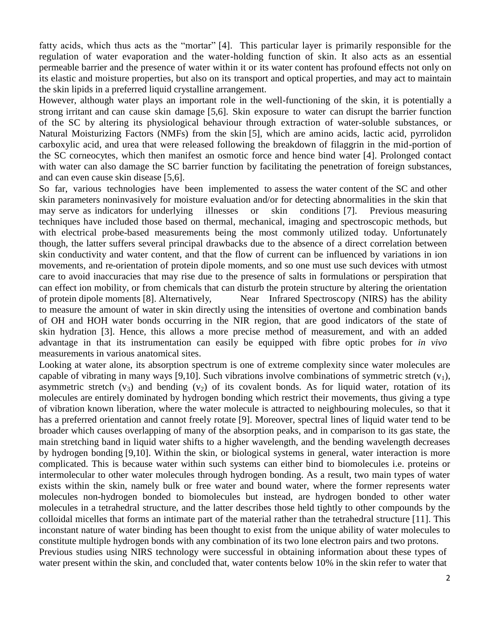fatty acids, which thus acts as the "mortar" [\[4\]](#page-13-3). This particular layer is primarily responsible for the regulation of water evaporation and the water-holding function of skin. It also acts as an essential permeable barrier and the presence of water within it or its water content has profound effects not only on its elastic and moisture properties, but also on its transport and optical properties, and may act to maintain the skin lipids in a preferred liquid crystalline arrangement.

However, although water plays an important role in the well-functioning of the skin, it is potentially a strong irritant and can cause skin damage [\[5](#page-13-4)[,6\]](#page-13-5). Skin exposure to water can disrupt the barrier function of the SC by altering its physiological behaviour through extraction of water-soluble substances, or Natural Moisturizing Factors (NMFs) from the skin [\[5\]](#page-13-4), which are amino acids, lactic acid, pyrrolidon carboxylic acid, and urea that were released following the breakdown of filaggrin in the mid-portion of the SC corneocytes, which then manifest an osmotic force and hence bind water [\[4\]](#page-13-3). Prolonged contact with water can also damage the SC barrier function by facilitating the penetration of foreign substances, and can even cause skin disease [\[5,](#page-13-4)[6\]](#page-13-5).

So far, various technologies have been implemented to assess the water content of the SC and other skin parameters noninvasively for moisture evaluation and/or for detecting abnormalities in the skin that may serve as indicators for underlying illnesses or skin conditions [\[7\]](#page-13-6). Previous measuring techniques have included those based on thermal, mechanical, imaging and spectroscopic methods, but with electrical probe-based measurements being the most commonly utilized today. Unfortunately though, the latter suffers several principal drawbacks due to the absence of a direct correlation between skin conductivity and water content, and that the flow of current can be influenced by variations in ion movements, and re-orientation of protein dipole moments, and so one must use such devices with utmost care to avoid inaccuracies that may rise due to the presence of salts in formulations or perspiration that can effect ion mobility, or from chemicals that can disturb the protein structure by altering the orientation of protein dipole moments [\[8\]](#page-13-7). Alternatively, Near Infrared Spectroscopy (NIRS) has the ability to measure the amount of water in skin directly using the intensities of overtone and combination bands of OH and HOH water bonds occurring in the NIR region, that are good indicators of the state of skin hydration [\[3\]](#page-13-2). Hence, this allows a more precise method of measurement, and with an added advantage in that its instrumentation can easily be equipped with fibre optic probes for *in vivo* measurements in various anatomical sites.

Looking at water alone, its absorption spectrum is one of extreme complexity since water molecules are capable of vibrating in many ways [\[9](#page-13-8)[,10\]](#page-13-9). Such vibrations involve combinations of symmetric stretch  $(v_1)$ , asymmetric stretch  $(v_3)$  and bending  $(v_2)$  of its covalent bonds. As for liquid water, rotation of its molecules are entirely dominated by hydrogen bonding which restrict their movements, thus giving a type of vibration known liberation, where the water molecule is attracted to neighbouring molecules, so that it has a preferred orientation and cannot freely rotate [\[9\]](#page-13-8). Moreover, spectral lines of liquid water tend to be broader which causes overlapping of many of the absorption peaks, and in comparison to its gas state, the main stretching band in liquid water shifts to a higher wavelength, and the bending wavelength decreases by hydrogen bonding [\[9,](#page-13-8)[10\]](#page-13-9). Within the skin, or biological systems in general, water interaction is more complicated. This is because water within such systems can either bind to biomolecules i.e. proteins or intermolecular to other water molecules through hydrogen bonding. As a result, two main types of water exists within the skin, namely bulk or free water and bound water, where the former represents water molecules non-hydrogen bonded to biomolecules but instead, are hydrogen bonded to other water molecules in a tetrahedral structure, and the latter describes those held tightly to other compounds by the colloidal micelles that forms an intimate part of the material rather than the tetrahedral structure [\[11\]](#page-14-0). This inconstant nature of water binding has been thought to exist from the unique ability of water molecules to constitute multiple hydrogen bonds with any combination of its two lone electron pairs and two protons. Previous studies using NIRS technology were successful in obtaining information about these types of water present within the skin, and concluded that, water contents below 10% in the skin refer to water that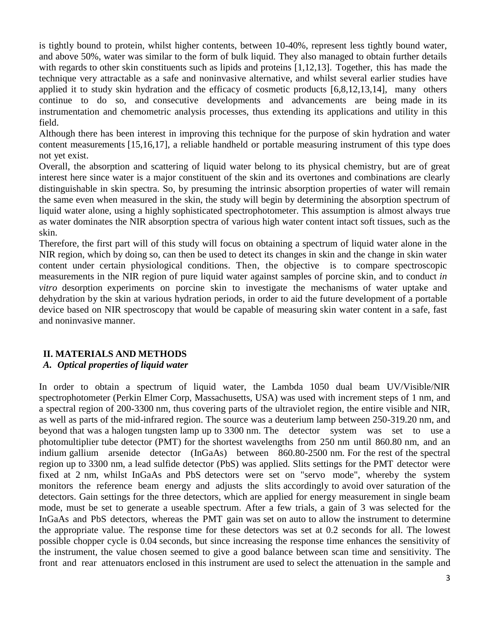is tightly bound to protein, whilst higher contents, between 10-40%, represent less tightly bound water, and above 50%, water was similar to the form of bulk liquid. They also managed to obtain further details with regards to other skin constituents such as lipids and proteins [\[1](#page-13-0)[,12](#page-14-1)[,13\]](#page-14-2). Together, this has made the technique very attractable as a safe and noninvasive alternative, and whilst several earlier studies have applied it to study skin hydration and the efficacy of cosmetic products [\[6](#page-13-5)[,8](#page-13-7)[,12](#page-14-1)[,13](#page-14-2)[,14\]](#page-14-3), many others continue to do so, and consecutive developments and advancements are being made in its instrumentation and chemometric analysis processes, thus extending its applications and utility in this field.

Although there has been interest in improving this technique for the purpose of skin hydration and water content measurements [\[15,](#page-14-4)[16,](#page-14-5)[17\]](#page-14-6), a reliable handheld or portable measuring instrument of this type does not yet exist.

Overall, the absorption and scattering of liquid water belong to its physical chemistry, but are of great interest here since water is a major constituent of the skin and its overtones and combinations are clearly distinguishable in skin spectra. So, by presuming the intrinsic absorption properties of water will remain the same even when measured in the skin, the study will begin by determining the absorption spectrum of liquid water alone, using a highly sophisticated spectrophotometer. This assumption is almost always true as water dominates the NIR absorption spectra of various high water content intact soft tissues, such as the skin.

Therefore, the first part will of this study will focus on obtaining a spectrum of liquid water alone in the NIR region, which by doing so, can then be used to detect its changes in skin and the change in skin water content under certain physiological conditions. Then, the objective is to compare spectroscopic measurements in the NIR region of pure liquid water against samples of porcine skin, and to conduct *in vitro* desorption experiments on porcine skin to investigate the mechanisms of water uptake and dehydration by the skin at various hydration periods, in order to aid the future development of a portable device based on NIR spectroscopy that would be capable of measuring skin water content in a safe, fast and noninvasive manner.

#### **II. MATERIALS AND METHODS**

#### *A. Optical properties of liquid water*

In order to obtain a spectrum of liquid water, the Lambda 1050 dual beam UV/Visible/NIR spectrophotometer (Perkin Elmer Corp, Massachusetts, USA) was used with increment steps of 1 nm, and a spectral region of 200-3300 nm, thus covering parts of the ultraviolet region, the entire visible and NIR, as well as parts of the mid-infrared region. The source was a deuterium lamp between 250-319.20 nm, and beyond that was a halogen tungsten lamp up to 3300 nm. The detector system was set to use a photomultiplier tube detector (PMT) for the shortest wavelengths from 250 nm until 860.80 nm, and an indium gallium arsenide detector (InGaAs) between 860.80-2500 nm. For the rest of the spectral region up to 3300 nm, a lead sulfide detector (PbS) was applied. Slits settings for the PMT detector were fixed at 2 nm, whilst InGaAs and PbS detectors were set on "servo mode", whereby the system monitors the reference beam energy and adjusts the slits accordingly to avoid over saturation of the detectors. Gain settings for the three detectors, which are applied for energy measurement in single beam mode, must be set to generate a useable spectrum. After a few trials, a gain of 3 was selected for the InGaAs and PbS detectors, whereas the PMT gain was set on auto to allow the instrument to determine the appropriate value. The response time for these detectors was set at 0.2 seconds for all. The lowest possible chopper cycle is 0.04 seconds, but since increasing the response time enhances the sensitivity of the instrument, the value chosen seemed to give a good balance between scan time and sensitivity. The front and rear attenuators enclosed in this instrument are used to select the attenuation in the sample and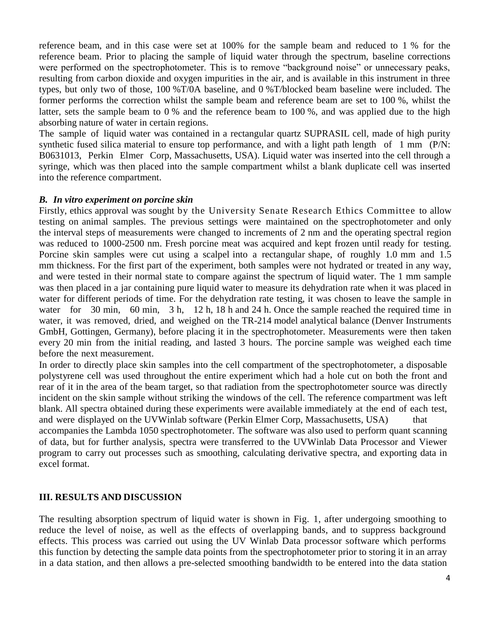reference beam, and in this case were set at 100% for the sample beam and reduced to 1 % for the reference beam. Prior to placing the sample of liquid water through the spectrum, baseline corrections were performed on the spectrophotometer. This is to remove "background noise" or unnecessary peaks, resulting from carbon dioxide and oxygen impurities in the air, and is available in this instrument in three types, but only two of those, 100 %T/0A baseline, and 0 %T/blocked beam baseline were included. The former performs the correction whilst the sample beam and reference beam are set to 100 %, whilst the latter, sets the sample beam to 0 % and the reference beam to 100 %, and was applied due to the high absorbing nature of water in certain regions.

The sample of liquid water was contained in a rectangular quartz SUPRASIL cell, made of high purity synthetic fused silica material to ensure top performance, and with a light path length of 1 mm (P/N: B0631013, Perkin Elmer Corp, Massachusetts, USA). Liquid water was inserted into the cell through a syringe, which was then placed into the sample compartment whilst a blank duplicate cell was inserted into the reference compartment.

#### *B. In vitro experiment on porcine skin*

Firstly, ethics approval was sought by the University Senate Research Ethics Committee to allow testing on animal samples. The previous settings were maintained on the spectrophotometer and only the interval steps of measurements were changed to increments of 2 nm and the operating spectral region was reduced to 1000-2500 nm. Fresh porcine meat was acquired and kept frozen until ready for testing. Porcine skin samples were cut using a scalpel into a rectangular shape, of roughly 1.0 mm and 1.5 mm thickness. For the first part of the experiment, both samples were not hydrated or treated in any way, and were tested in their normal state to compare against the spectrum of liquid water. The 1 mm sample was then placed in a jar containing pure liquid water to measure its dehydration rate when it was placed in water for different periods of time. For the dehydration rate testing, it was chosen to leave the sample in water for 30 min, 60 min, 3 h, 12 h, 18 h and 24 h. Once the sample reached the required time in water, it was removed, dried, and weighed on the TR-214 model analytical balance (Denver Instruments GmbH, Gottingen, Germany), before placing it in the spectrophotometer. Measurements were then taken every 20 min from the initial reading, and lasted 3 hours. The porcine sample was weighed each time before the next measurement.

In order to directly place skin samples into the cell compartment of the spectrophotometer, a disposable polystyrene cell was used throughout the entire experiment which had a hole cut on both the front and rear of it in the area of the beam target, so that radiation from the spectrophotometer source was directly incident on the skin sample without striking the windows of the cell. The reference compartment was left blank. All spectra obtained during these experiments were available immediately at the end of each test, and were displayed on the UVWinlab software (Perkin Elmer Corp, Massachusetts, USA) that

accompanies the Lambda 1050 spectrophotometer. The software was also used to perform quant scanning of data, but for further analysis, spectra were transferred to the UVWinlab Data Processor and Viewer program to carry out processes such as smoothing, calculating derivative spectra, and exporting data in excel format.

#### **III. RESULTS AND DISCUSSION**

The resulting absorption spectrum of liquid water is shown in Fig. 1, after undergoing smoothing to reduce the level of noise, as well as the effects of overlapping bands, and to suppress background effects. This process was carried out using the UV Winlab Data processor software which performs this function by detecting the sample data points from the spectrophotometer prior to storing it in an array in a data station, and then allows a pre-selected smoothing bandwidth to be entered into the data station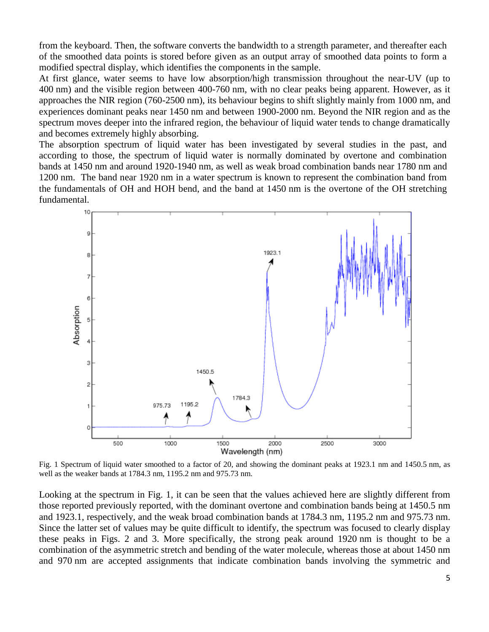from the keyboard. Then, the software converts the bandwidth to a strength parameter, and thereafter each of the smoothed data points is stored before given as an output array of smoothed data points to form a modified spectral display, which identifies the components in the sample.

At first glance, water seems to have low absorption/high transmission throughout the near-UV (up to 400 nm) and the visible region between 400-760 nm, with no clear peaks being apparent. However, as it approaches the NIR region (760-2500 nm), its behaviour begins to shift slightly mainly from 1000 nm, and experiences dominant peaks near 1450 nm and between 1900-2000 nm. Beyond the NIR region and as the spectrum moves deeper into the infrared region, the behaviour of liquid water tends to change dramatically and becomes extremely highly absorbing.

The absorption spectrum of liquid water has been investigated by several studies in the past, and according to those, the spectrum of liquid water is normally dominated by overtone and combination bands at 1450 nm and around 1920-1940 nm, as well as weak broad combination bands near 1780 nm and 1200 nm. The band near 1920 nm in a water spectrum is known to represent the combination band from the fundamentals of OH and HOH bend, and the band at 1450 nm is the overtone of the OH stretching fundamental.



Fig. 1 Spectrum of liquid water smoothed to a factor of 20, and showing the dominant peaks at 1923.1 nm and 1450.5 nm, as well as the weaker bands at 1784.3 nm, 1195.2 nm and 975.73 nm.

Looking at the spectrum in Fig. 1, it can be seen that the values achieved here are slightly different from those reported previously reported, with the dominant overtone and combination bands being at 1450.5 nm and 1923.1, respectively, and the weak broad combination bands at 1784.3 nm, 1195.2 nm and 975.73 nm. Since the latter set of values may be quite difficult to identify, the spectrum was focused to clearly display these peaks in Figs. 2 and 3. More specifically, the strong peak around 1920 nm is thought to be a combination of the asymmetric stretch and bending of the water molecule, whereas those at about 1450 nm and 970 nm are accepted assignments that indicate combination bands involving the symmetric and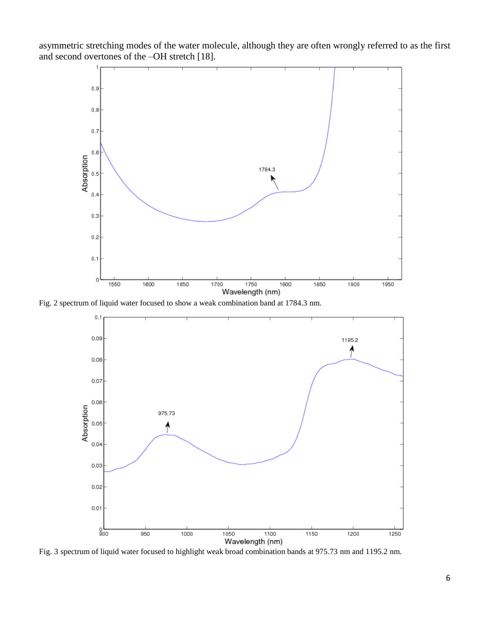

asymmetric stretching modes of the water molecule, although they are often wrongly referred to as the first and second overtones of the –OH stretch [\[18\]](#page-14-7).

Fig. 2 spectrum of liquid water focused to show a weak combination band at 1784.3 nm.



Fig. 3 spectrum of liquid water focused to highlight weak broad combination bands at 975.73 nm and 1195.2 nm.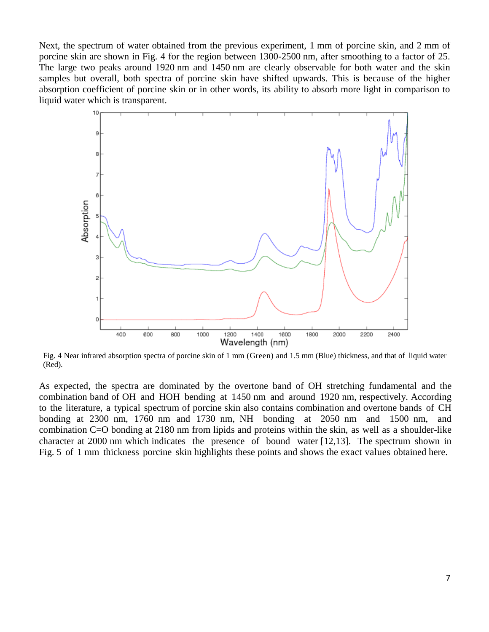Next, the spectrum of water obtained from the previous experiment, 1 mm of porcine skin, and 2 mm of porcine skin are shown in Fig. 4 for the region between 1300-2500 nm, after smoothing to a factor of 25. The large two peaks around 1920 nm and 1450 nm are clearly observable for both water and the skin samples but overall, both spectra of porcine skin have shifted upwards. This is because of the higher absorption coefficient of porcine skin or in other words, its ability to absorb more light in comparison to liquid water which is transparent.



Fig. 4 Near infrared absorption spectra of porcine skin of 1 mm (Green) and 1.5 mm (Blue) thickness, and that of liquid water (Red).

As expected, the spectra are dominated by the overtone band of OH stretching fundamental and the combination band of OH and HOH bending at 1450 nm and around 1920 nm, respectively. According to the literature, a typical spectrum of porcine skin also contains combination and overtone bands of CH bonding at 2300 nm, 1760 nm and 1730 nm, NH bonding at 2050 nm and 1500 nm, and combination C=O bonding at 2180 nm from lipids and proteins within the skin, as well as a shoulder-like character at 2000 nm which indicates the presence of bound water [\[12](#page-14-1)[,13\]](#page-14-2). The spectrum shown in Fig. 5 of 1 mm thickness porcine skin highlights these points and shows the exact values obtained here.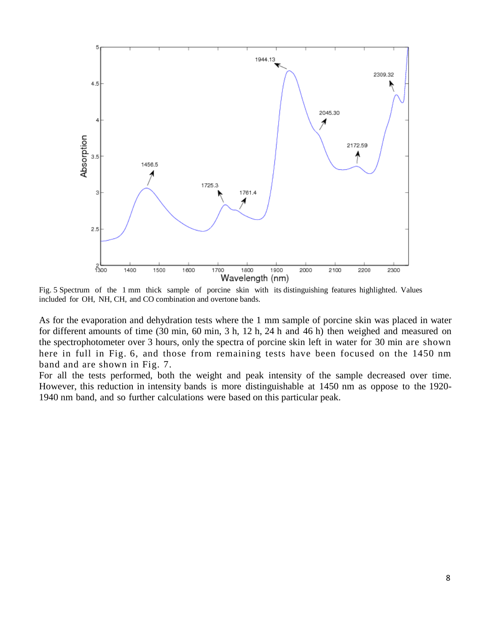

Fig. 5 Spectrum of the 1 mm thick sample of porcine skin with its distinguishing features highlighted. Values included for OH, NH, CH, and CO combination and overtone bands.

As for the evaporation and dehydration tests where the 1 mm sample of porcine skin was placed in water for different amounts of time (30 min, 60 min, 3 h, 12 h, 24 h and 46 h) then weighed and measured on the spectrophotometer over 3 hours, only the spectra of porcine skin left in water for 30 min are shown here in full in Fig. 6, and those from remaining tests have been focused on the 1450 nm band and are shown in Fig. 7.

For all the tests performed, both the weight and peak intensity of the sample decreased over time. However, this reduction in intensity bands is more distinguishable at 1450 nm as oppose to the 1920- 1940 nm band, and so further calculations were based on this particular peak.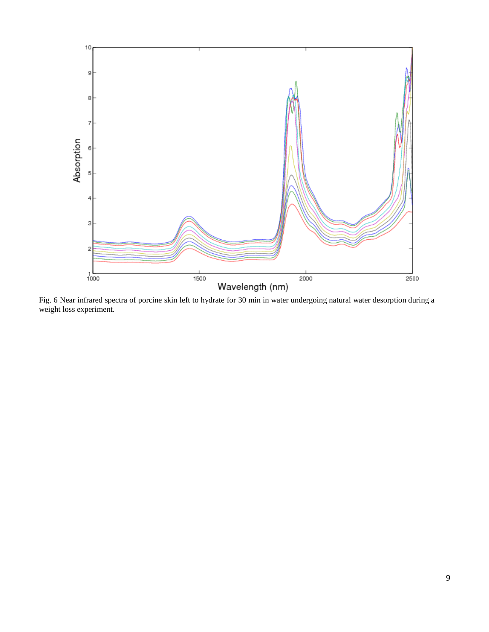

Fig. 6 Near infrared spectra of porcine skin left to hydrate for 30 min in water undergoing natural water desorption during a weight loss experiment.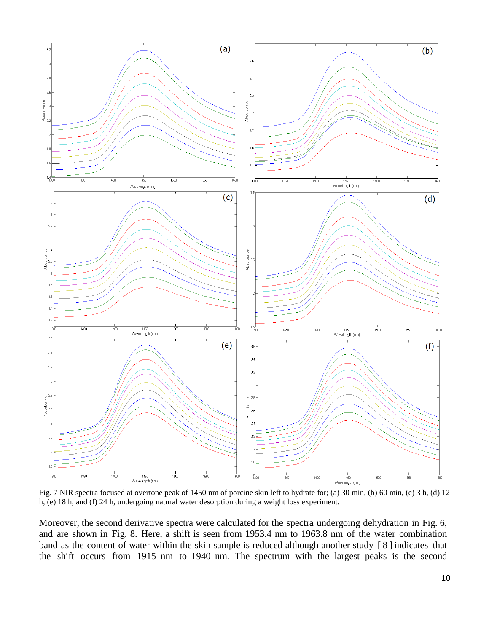

Fig. 7 NIR spectra focused at overtone peak of 1450 nm of porcine skin left to hydrate for; (a) 30 min, (b) 60 min, (c) 3 h, (d) 12 h, (e) 18 h, and (f) 24 h, undergoing natural water desorption during a weight loss experiment.

Moreover, the second derivative spectra were calculated for the spectra undergoing dehydration in Fig. 6, and are shown in Fig. 8. Here, a shift is seen from 1953.4 nm to 1963.8 nm of the water combination band as the content of water within the skin sample is reduced although another study [ [8](#page-13-7) ] indicates that the shift occurs from 1915 nm to 1940 nm. The spectrum with the largest peaks is the second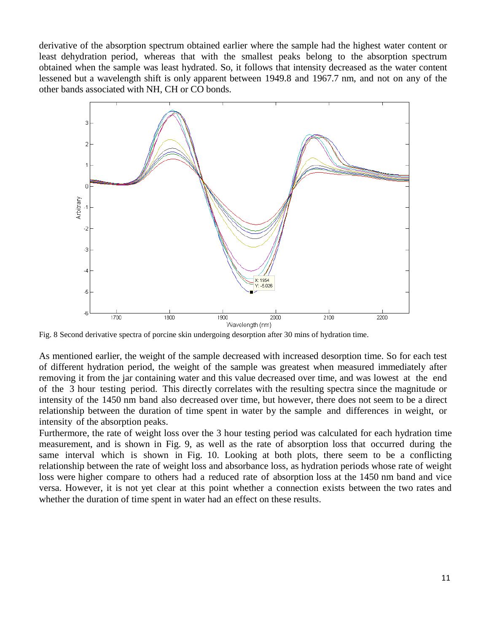derivative of the absorption spectrum obtained earlier where the sample had the highest water content or least dehydration period, whereas that with the smallest peaks belong to the absorption spectrum obtained when the sample was least hydrated. So, it follows that intensity decreased as the water content lessened but a wavelength shift is only apparent between 1949.8 and 1967.7 nm, and not on any of the other bands associated with NH, CH or CO bonds.



Fig. 8 Second derivative spectra of porcine skin undergoing desorption after 30 mins of hydration time.

As mentioned earlier, the weight of the sample decreased with increased desorption time. So for each test of different hydration period, the weight of the sample was greatest when measured immediately after removing it from the jar containing water and this value decreased over time, and was lowest at the end of the 3 hour testing period. This directly correlates with the resulting spectra since the magnitude or intensity of the 1450 nm band also decreased over time, but however, there does not seem to be a direct relationship between the duration of time spent in water by the sample and differences in weight, or intensity of the absorption peaks.

Furthermore, the rate of weight loss over the 3 hour testing period was calculated for each hydration time measurement, and is shown in Fig. 9, as well as the rate of absorption loss that occurred during the same interval which is shown in Fig. 10. Looking at both plots, there seem to be a conflicting relationship between the rate of weight loss and absorbance loss, as hydration periods whose rate of weight loss were higher compare to others had a reduced rate of absorption loss at the 1450 nm band and vice versa. However, it is not yet clear at this point whether a connection exists between the two rates and whether the duration of time spent in water had an effect on these results.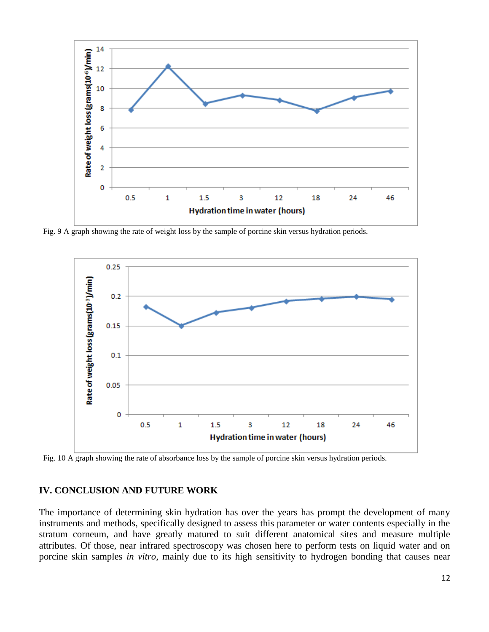

Fig. 9 A graph showing the rate of weight loss by the sample of porcine skin versus hydration periods.



Fig. 10 A graph showing the rate of absorbance loss by the sample of porcine skin versus hydration periods.

#### **IV. CONCLUSION AND FUTURE WORK**

The importance of determining skin hydration has over the years has prompt the development of many instruments and methods, specifically designed to assess this parameter or water contents especially in the stratum corneum, and have greatly matured to suit different anatomical sites and measure multiple attributes. Of those, near infrared spectroscopy was chosen here to perform tests on liquid water and on porcine skin samples *in vitro*, mainly due to its high sensitivity to hydrogen bonding that causes near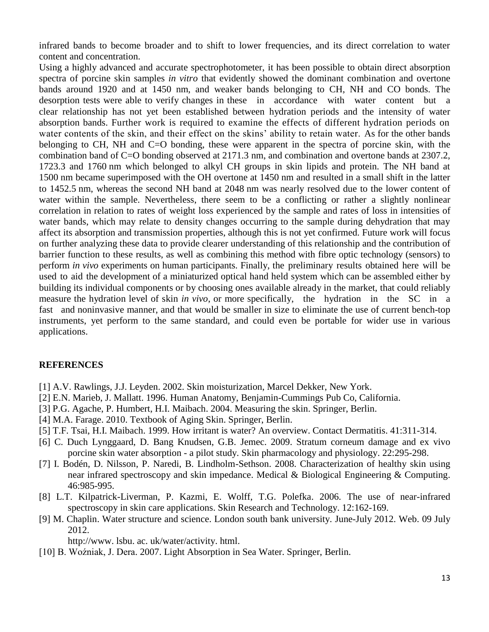infrared bands to become broader and to shift to lower frequencies, and its direct correlation to water content and concentration.

Using a highly advanced and accurate spectrophotometer, it has been possible to obtain direct absorption spectra of porcine skin samples *in vitro* that evidently showed the dominant combination and overtone bands around 1920 and at 1450 nm, and weaker bands belonging to CH, NH and CO bonds. The desorption tests were able to verify changes in these in accordance with water content but a clear relationship has not yet been established between hydration periods and the intensity of water absorption bands. Further work is required to examine the effects of different hydration periods on water contents of the skin, and their effect on the skins' ability to retain water. As for the other bands belonging to CH, NH and C=O bonding, these were apparent in the spectra of porcine skin, with the combination band of C=O bonding observed at 2171.3 nm, and combination and overtone bands at 2307.2, 1723.3 and 1760 nm which belonged to alkyl CH groups in skin lipids and protein. The NH band at 1500 nm became superimposed with the OH overtone at 1450 nm and resulted in a small shift in the latter to 1452.5 nm, whereas the second NH band at 2048 nm was nearly resolved due to the lower content of water within the sample. Nevertheless, there seem to be a conflicting or rather a slightly nonlinear correlation in relation to rates of weight loss experienced by the sample and rates of loss in intensities of water bands, which may relate to density changes occurring to the sample during dehydration that may affect its absorption and transmission properties, although this is not yet confirmed. Future work will focus on further analyzing these data to provide clearer understanding of this relationship and the contribution of barrier function to these results, as well as combining this method with fibre optic technology (sensors) to perform *in vivo* experiments on human participants. Finally, the preliminary results obtained here will be used to aid the development of a miniaturized optical hand held system which can be assembled either by building its individual components or by choosing ones available already in the market, that could reliably measure the hydration level of skin *in vivo*, or more specifically, the hydration in the SC in a fast and noninvasive manner, and that would be smaller in size to eliminate the use of current bench-top instruments, yet perform to the same standard, and could even be portable for wider use in various applications.

#### **REFERENCES**

- <span id="page-13-0"></span>[1] A.V. Rawlings, J.J. Leyden. 2002. Skin moisturization, Marcel Dekker, New York.
- <span id="page-13-1"></span>[2] E.N. Marieb, J. Mallatt. 1996. Human Anatomy, Benjamin-Cummings Pub Co, California.
- <span id="page-13-2"></span>[3] P.G. Agache, P. Humbert, H.I. Maibach. 2004. Measuring the skin. Springer, Berlin.
- <span id="page-13-3"></span>[4] M.A. Farage. 2010. Textbook of Aging Skin. Springer, Berlin.
- <span id="page-13-4"></span>[5] T.F. Tsai, H.I. Maibach. 1999. How irritant is water? An overview. Contact Dermatitis. 41:311-314.
- <span id="page-13-5"></span>[6] C. Duch Lynggaard, D. Bang Knudsen, G.B. Jemec. 2009. Stratum corneum damage and ex vivo porcine skin water absorption - a pilot study. Skin pharmacology and physiology. 22:295-298.
- <span id="page-13-6"></span>[7] I. Bodén, D. Nilsson, P. Naredi, B. Lindholm-Sethson. 2008. Characterization of healthy skin using near infrared spectroscopy and skin impedance. Medical & Biological Engineering & Computing. 46:985-995.
- <span id="page-13-7"></span>[8] L.T. Kilpatrick-Liverman, P. Kazmi, E. Wolff, T.G. Polefka. 2006. The use of near-infrared spectroscopy in skin care applications. Skin Research and Technology. 12:162-169.
- <span id="page-13-8"></span>[9] M. Chaplin. Water structure and science. London south bank university. June-July 2012. Web. 09 July 2012.

http://www. lsbu. ac. uk/water/activity. html.

<span id="page-13-9"></span>[10] B. Woźniak, J. Dera. 2007. Light Absorption in Sea Water. Springer, Berlin.